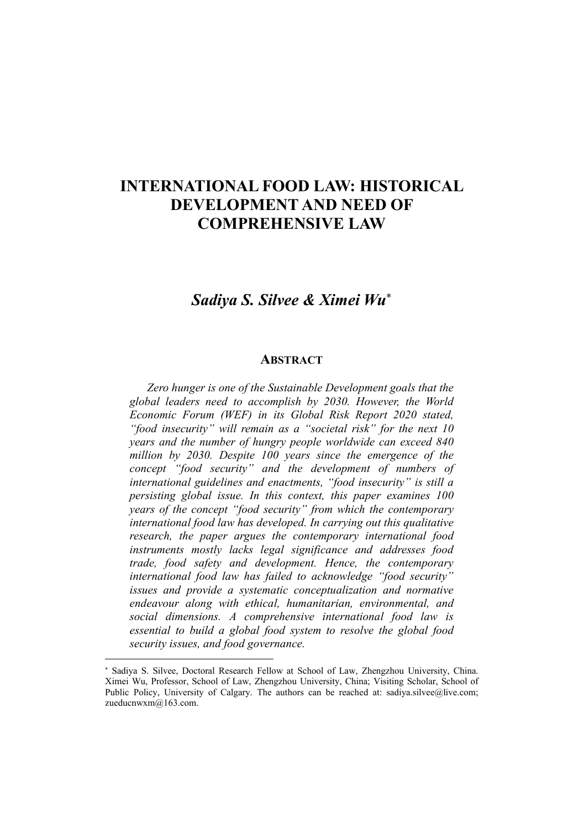## INTERNATIONAL FOOD LAW: HISTORICAL DEVELOPMENT AND NEED OF COMPREHENSIVE LAW

## *Sadiya S. Silvee & Ximei Wu*

## **ABSTRACT**

*Zero hunger is one of the Sustainable Development goals that the global leaders need to accomplish by 2030. However, the World Economic Forum (WEF) in its Global Risk Report 2020 stated, "food insecurity" will remain as a "societal risk" for the next 10 years and the number of hungry people worldwide can exceed 840 million by 2030. Despite 100 years since the emergence of the concept "food security" and the development of numbers of international guidelines and enactments, "food insecurity" is still a persisting global issue. In this context, this paper examines 100 years of the concept "food security" from which the contemporary international food law has developed. In carrying out this qualitative research, the paper argues the contemporary international food instruments mostly lacks legal significance and addresses food trade, food safety and development. Hence, the contemporary international food law has failed to acknowledge "food security" issues and provide a systematic conceptualization and normative endeavour along with ethical, humanitarian, environmental, and social dimensions. A comprehensive international food law is essential to build a global food system to resolve the global food security issues, and food governance.*

 $\ddot{ }$ 

Sadiya S. Silvee, Doctoral Research Fellow at School of Law, Zhengzhou University, China. Ximei Wu, Professor, School of Law, Zhengzhou University, China; Visiting Scholar, School of Public Policy, University of Calgary. The authors can be reached at: sadiya.silvee@live.com; zueducnwxm@163.com.